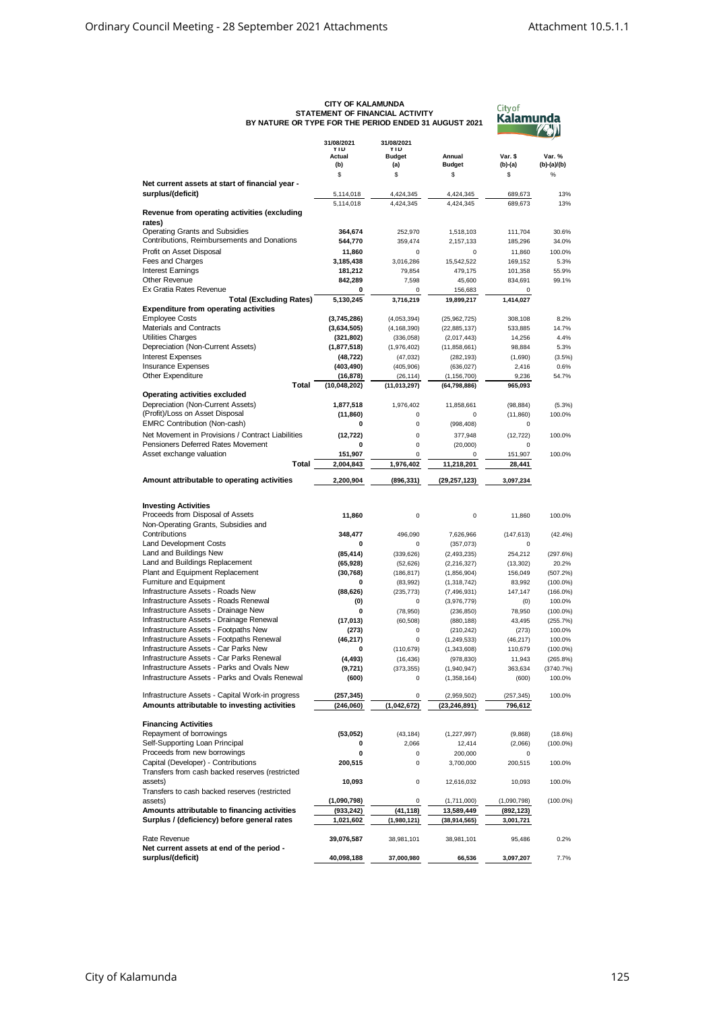|                                                                                                  | <b>CITY OF KALAMUNDA</b>           | STATEMENT OF FINANCIAL ACTIVITY    | BY NATURE OR TYPE FOR THE PERIOD ENDED 31 AUGUST 2021 |                        | <b>City of</b><br>Kalamunda |  |
|--------------------------------------------------------------------------------------------------|------------------------------------|------------------------------------|-------------------------------------------------------|------------------------|-----------------------------|--|
|                                                                                                  | 31/08/2021<br><b>YTD</b><br>Actual | 31/08/2021<br>YTD<br><b>Budget</b> | Annual                                                | Var. \$                | Var. %                      |  |
|                                                                                                  | (b)<br>\$                          | (a)<br>\$                          | <b>Budget</b><br>\$                                   | $(b)-(a)$<br>\$        | (b)-(a)/(b)<br>$\%$         |  |
| Net current assets at start of financial year -                                                  |                                    |                                    |                                                       |                        |                             |  |
| surplus/(deficit)                                                                                | 5,114,018                          | 4,424,345                          | 4,424,345                                             | 689,673                | 13%                         |  |
|                                                                                                  | 5,114,018                          | 4,424,345                          | 4,424,345                                             | 689,673                | 13%                         |  |
| Revenue from operating activities (excluding<br>rates)                                           |                                    |                                    |                                                       |                        |                             |  |
| Operating Grants and Subsidies                                                                   | 364.674                            | 252,970                            | 1,518,103                                             | 111,704                | 30.6%                       |  |
| Contributions, Reimbursements and Donations                                                      | 544,770                            | 359,474                            | 2,157,133                                             | 185,296                | 34.0%                       |  |
| Profit on Asset Disposal<br>Fees and Charges                                                     | 11,860<br>3,185,438                | $\mathbf 0$<br>3,016,286           | 0<br>15,542,522                                       | 11,860<br>169,152      | 100.0%<br>5.3%              |  |
| <b>Interest Earnings</b>                                                                         | 181,212                            | 79,854                             | 479,175                                               | 101,358                | 55.9%                       |  |
| <b>Other Revenue</b>                                                                             | 842,289                            | 7,598                              | 45,600                                                | 834,691                | 99.1%                       |  |
| Ex Gratia Rates Revenue                                                                          | 0                                  | 0                                  | 156,683                                               | 0                      |                             |  |
| <b>Total (Excluding Rates)</b><br><b>Expenditure from operating activities</b>                   | 5,130,245                          | 3,716,219                          | 19,899,217                                            | 1,414,027              |                             |  |
| <b>Employee Costs</b>                                                                            | (3,745,286)                        | (4,053,394)                        | (25,962,725)                                          | 308,108                | 8.2%                        |  |
| Materials and Contracts                                                                          | (3,634,505)                        | (4, 168, 390)                      | (22, 885, 137)                                        | 533,885                | 14.7%                       |  |
| <b>Utilities Charges</b><br>Depreciation (Non-Current Assets)                                    | (321, 802)<br>(1, 877, 518)        | (336, 058)                         | (2,017,443)                                           | 14,256<br>98,884       | 4.4%<br>5.3%                |  |
| <b>Interest Expenses</b>                                                                         | (48, 722)                          | (1,976,402)<br>(47, 032)           | (11,858,661)<br>(282, 193)                            | (1,690)                | (3.5%)                      |  |
| <b>Insurance Expenses</b>                                                                        | (403,490)                          | (405, 906)                         | (636, 027)                                            | 2,416                  | 0.6%                        |  |
| Other Expenditure                                                                                | (16, 878)                          | (26, 114)                          | (1, 156, 700)                                         | 9,236                  | 54.7%                       |  |
| <b>Total</b>                                                                                     | (10,048,202)                       | (11, 013, 297)                     | (64, 798, 886)                                        | 965,093                |                             |  |
| <b>Operating activities excluded</b>                                                             |                                    |                                    |                                                       |                        |                             |  |
| Depreciation (Non-Current Assets)                                                                | 1,877,518                          | 1,976,402                          | 11,858,661                                            | (98, 884)              | (5.3%)                      |  |
| (Profit)/Loss on Asset Disposal<br><b>EMRC Contribution (Non-cash)</b>                           | (11, 860)<br>0                     | 0<br>$\pmb{0}$                     | 0                                                     | (11, 860)<br>0         | 100.0%                      |  |
| Net Movement in Provisions / Contract Liabilities                                                | (12, 722)                          | $\mathbf 0$                        | (998, 408)<br>377,948                                 |                        | 100.0%                      |  |
| Pensioners Deferred Rates Movement                                                               | 0                                  | $\pmb{0}$                          | (20,000)                                              | (12, 722)<br>0         |                             |  |
| Asset exchange valuation                                                                         | 151,907                            | 0                                  | 0                                                     | 151,907                | 100.0%                      |  |
| Total                                                                                            | 2,004,843                          | 1,976,402                          | 11,218,201                                            | 28,441                 |                             |  |
| Amount attributable to operating activities                                                      | 2,200,904                          | (896, 331)                         | (29, 257, 123)                                        | 3,097,234              |                             |  |
|                                                                                                  |                                    |                                    |                                                       |                        |                             |  |
| <b>Investing Activities</b><br>Proceeds from Disposal of Assets                                  | 11,860                             | 0                                  | 0                                                     | 11,860                 | 100.0%                      |  |
| Non-Operating Grants, Subsidies and<br>Contributions                                             |                                    |                                    |                                                       |                        |                             |  |
| Land Development Costs                                                                           | 348,477<br>0                       | 496,090<br>0                       | 7,626,966<br>(357, 073)                               | (147, 613)<br>0        | (42.4%                      |  |
| Land and Buildings New                                                                           | (85, 414)                          | (339, 626)                         | (2,493,235)                                           | 254,212                | (297.6%)                    |  |
| Land and Buildings Replacement                                                                   | (65, 928)                          | (52, 626)                          | (2, 216, 327)                                         | (13, 302)              | 20.2%                       |  |
| Plant and Equipment Replacement                                                                  | (30, 768)                          | (186, 817)                         | (1,856,904)                                           | 156,049                | (507.2%)                    |  |
| Furniture and Equipment                                                                          | 0                                  | (83,992)                           | (1,318,742)                                           | 83,992                 | $(100.0\%)$                 |  |
| Infrastructure Assets - Roads New                                                                | (88, 626)                          | (235, 773)                         | (7, 496, 931)                                         | 147,147                | $(166.0\%)$                 |  |
| Infrastructure Assets - Roads Renewal<br>Infrastructure Assets - Drainage New                    | (0)                                | 0                                  | (3,976,779)                                           | (0)                    | 100.0%                      |  |
| Infrastructure Assets - Drainage Renewal                                                         | 0<br>(17, 013)                     | (78,950)<br>(60, 508)              | (236, 850)<br>(880, 188)                              | 78,950<br>43,495       | $(100.0\%)$<br>(255.7%)     |  |
| Infrastructure Assets - Footpaths New                                                            | (273)                              |                                    | (210, 242)                                            | (273)                  | 100.0%                      |  |
| Infrastructure Assets - Footpaths Renewal                                                        | (46, 217)                          | 0                                  | (1, 249, 533)                                         | (46, 217)              | 100.0%                      |  |
| Infrastructure Assets - Car Parks New                                                            | 0                                  | (110, 679)                         | (1,343,608)                                           | 110,679                | $(100.0\%)$                 |  |
| Infrastructure Assets - Car Parks Renewal                                                        | (4, 493)                           | (16, 436)                          | (978, 830)                                            | 11,943                 | (265.8%)                    |  |
| Infrastructure Assets - Parks and Ovals New                                                      | (9,721)                            | (373, 355)                         | (1,940,947)                                           | 363,634                | (3740.7%)                   |  |
| Infrastructure Assets - Parks and Ovals Renewal                                                  | (600)                              | 0                                  | (1,358,164)                                           | (600)                  | 100.0%                      |  |
| Infrastructure Assets - Capital Work-in progress<br>Amounts attributable to investing activities | (257, 345)<br>(246,060)            | 0<br>(1,042,672)                   | (2,959,502)<br>(23, 246, 891)                         | (257, 345)<br>796,612  | 100.0%                      |  |
|                                                                                                  |                                    |                                    |                                                       |                        |                             |  |
| <b>Financing Activities</b><br>Repayment of borrowings                                           | (53,052)                           | (43, 184)                          | (1, 227, 997)                                         | (9,868)                | (18.6%)                     |  |
| Self-Supporting Loan Principal                                                                   | 0                                  | 2,066                              | 12,414                                                | (2,066)                | $(100.0\%)$                 |  |
| Proceeds from new borrowings                                                                     | 0                                  | 0                                  | 200,000                                               | 0                      |                             |  |
| Capital (Developer) - Contributions                                                              | 200,515                            | 0                                  | 3,700,000                                             | 200,515                | 100.0%                      |  |
| Transfers from cash backed reserves (restricted                                                  |                                    |                                    |                                                       |                        |                             |  |
| assets)<br>Transfers to cash backed reserves (restricted                                         | 10,093                             | 0                                  | 12,616,032                                            | 10,093                 | 100.0%                      |  |
| assets)                                                                                          | (1,090,798)                        | 0                                  | (1,711,000)                                           | (1,090,798)            | $(100.0\%)$                 |  |
| Amounts attributable to financing activities<br>Surplus / (deficiency) before general rates      | (933, 242)<br>1,021,602            | (41, 118)<br>(1,980,121)           | 13,589,449<br>(38, 914, 565)                          | (892,123)<br>3,001,721 |                             |  |
| Rate Revenue                                                                                     | 39,076,587                         | 38,981,101                         | 38,981,101                                            | 95,486                 | 0.2%                        |  |
| Net current assets at end of the period -<br>surplus/(deficit)                                   | 40,098,188                         | 37,000,980                         | 66,536                                                | 3,097,207              | 7.7%                        |  |

## **CITY OF KALAMUNDA STATEMENT OF FINANCIAL ACTIVITY BY NATURE OR TYPE FOR THE PERIOD ENDED 31 AUGUST 2021**